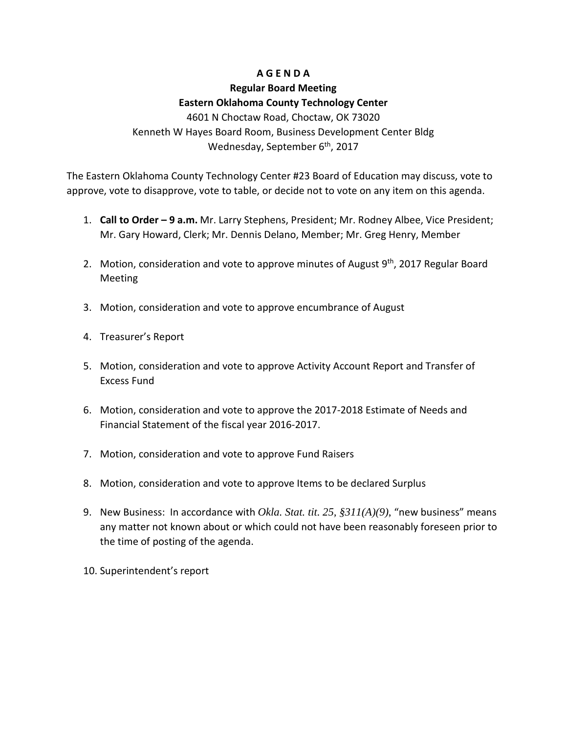## **A G E N D A**

## **Regular Board Meeting Eastern Oklahoma County Technology Center**

4601 N Choctaw Road, Choctaw, OK 73020 Kenneth W Hayes Board Room, Business Development Center Bldg Wednesday, September 6<sup>th</sup>, 2017

The Eastern Oklahoma County Technology Center #23 Board of Education may discuss, vote to approve, vote to disapprove, vote to table, or decide not to vote on any item on this agenda.

- 1. **Call to Order – 9 a.m.** Mr. Larry Stephens, President; Mr. Rodney Albee, Vice President; Mr. Gary Howard, Clerk; Mr. Dennis Delano, Member; Mr. Greg Henry, Member
- 2. Motion, consideration and vote to approve minutes of August  $9<sup>th</sup>$ , 2017 Regular Board Meeting
- 3. Motion, consideration and vote to approve encumbrance of August
- 4. Treasurer's Report
- 5. Motion, consideration and vote to approve Activity Account Report and Transfer of Excess Fund
- 6. Motion, consideration and vote to approve the 2017-2018 Estimate of Needs and Financial Statement of the fiscal year 2016-2017.
- 7. Motion, consideration and vote to approve Fund Raisers
- 8. Motion, consideration and vote to approve Items to be declared Surplus
- 9. New Business: In accordance with *Okla. Stat. tit. 25, §311(A)(9)*, "new business" means any matter not known about or which could not have been reasonably foreseen prior to the time of posting of the agenda.
- 10. Superintendent's report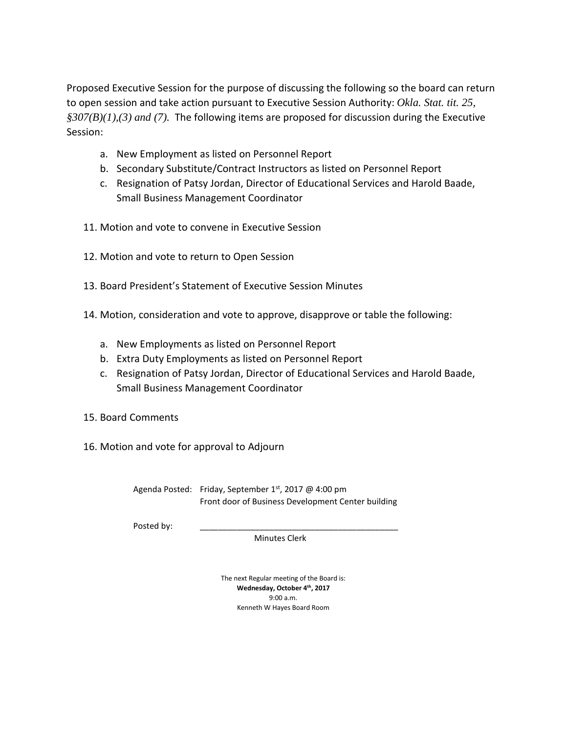Proposed Executive Session for the purpose of discussing the following so the board can return to open session and take action pursuant to Executive Session Authority: *Okla. Stat. tit. 25, §307(B)(1),(3) and (7).* The following items are proposed for discussion during the Executive Session:

- a. New Employment as listed on Personnel Report
- b. Secondary Substitute/Contract Instructors as listed on Personnel Report
- c. Resignation of Patsy Jordan, Director of Educational Services and Harold Baade, Small Business Management Coordinator
- 11. Motion and vote to convene in Executive Session
- 12. Motion and vote to return to Open Session
- 13. Board President's Statement of Executive Session Minutes
- 14. Motion, consideration and vote to approve, disapprove or table the following:
	- a. New Employments as listed on Personnel Report
	- b. Extra Duty Employments as listed on Personnel Report
	- c. Resignation of Patsy Jordan, Director of Educational Services and Harold Baade, Small Business Management Coordinator
- 15. Board Comments
- 16. Motion and vote for approval to Adjourn

Agenda Posted: Friday, September 1st, 2017 @ 4:00 pm Front door of Business Development Center building

Posted by:

Minutes Clerk

The next Regular meeting of the Board is: **Wednesday, October 4th, 2017** 9:00 a.m. Kenneth W Hayes Board Room